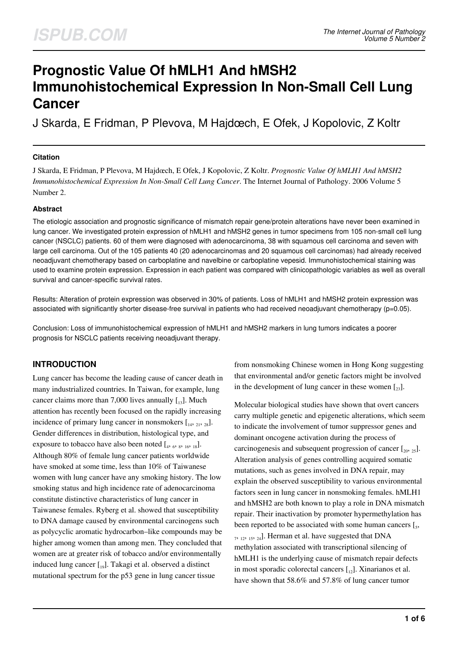# **Prognostic Value Of hMLH1 And hMSH2 Immunohistochemical Expression In Non-Small Cell Lung Cancer**

J Skarda, E Fridman, P Plevova, M Hajdœch, E Ofek, J Kopolovic, Z Koltr

#### **Citation**

J Skarda, E Fridman, P Plevova, M Hajdœch, E Ofek, J Kopolovic, Z Koltr. *Prognostic Value Of hMLH1 And hMSH2 Immunohistochemical Expression In Non-Small Cell Lung Cancer*. The Internet Journal of Pathology. 2006 Volume 5 Number 2.

#### **Abstract**

The etiologic association and prognostic significance of mismatch repair gene/protein alterations have never been examined in lung cancer. We investigated protein expression of hMLH1 and hMSH2 genes in tumor specimens from 105 non-small cell lung cancer (NSCLC) patients. 60 of them were diagnosed with adenocarcinoma, 38 with squamous cell carcinoma and seven with large cell carcinoma. Out of the 105 patients 40 (20 adenocarcinomas and 20 squamous cell carcinomas) had already received neoadjuvant chemotherapy based on carboplatine and navelbine or carboplatine vepesid. Immunohistochemical staining was used to examine protein expression. Expression in each patient was compared with clinicopathologic variables as well as overall survival and cancer-specific survival rates.

Results: Alteration of protein expression was observed in 30% of patients. Loss of hMLH1 and hMSH2 protein expression was associated with significantly shorter disease-free survival in patients who had received neoadjuvant chemotherapy (p=0.05).

Conclusion: Loss of immunohistochemical expression of hMLH1 and hMSH2 markers in lung tumors indicates a poorer prognosis for NSCLC patients receiving neoadjuvant therapy.

# **INTRODUCTION**

Lung cancer has become the leading cause of cancer death in many industrialized countries. In Taiwan, for example, lung cancer claims more than 7,000 lives annually  $\lceil a_3 \rceil$ . Much attention has recently been focused on the rapidly increasing incidence of primary lung cancer in nonsmokers  $\begin{bmatrix} 1 & 0 \\ 1 & 2 & 2 \\ 2 & 2 & 3 \end{bmatrix}$ . Gender differences in distribution, histological type, and exposure to tobacco have also been noted  $[$ <sub>4</sub>,  $_6$ ,  $_8$ ,  $_{16}$ ,  $_{18}$ ]. Although 80% of female lung cancer patients worldwide have smoked at some time, less than 10% of Taiwanese women with lung cancer have any smoking history. The low smoking status and high incidence rate of adenocarcinoma constitute distinctive characteristics of lung cancer in Taiwanese females. Ryberg et al. showed that susceptibility to DNA damage caused by environmental carcinogens such as polycyclic aromatic hydrocarbon–like compounds may be higher among women than among men. They concluded that women are at greater risk of tobacco and/or environmentally induced lung cancer  $\begin{bmatrix} 1 & 0 \end{bmatrix}$ . Takagi et al. observed a distinct mutational spectrum for the p53 gene in lung cancer tissue

from nonsmoking Chinese women in Hong Kong suggesting that environmental and/or genetic factors might be involved in the development of lung cancer in these women  $\left[\right]_{23}$ .

Molecular biological studies have shown that overt cancers carry multiple genetic and epigenetic alterations, which seem to indicate the involvement of tumor suppressor genes and dominant oncogene activation during the process of carcinogenesis and subsequent progression of cancer  $[\,_{20},\,_{25}]\$ . Alteration analysis of genes controlling acquired somatic mutations, such as genes involved in DNA repair, may explain the observed susceptibility to various environmental factors seen in lung cancer in nonsmoking females. hMLH1 and hMSH2 are both known to play a role in DNA mismatch repair. Their inactivation by promoter hypermethylation has been reported to be associated with some human cancers  $[s,$  $_{7, 12, 15, 24}$ . Herman et al. have suggested that DNA methylation associated with transcriptional silencing of hMLH1 is the underlying cause of mismatch repair defects in most sporadic colorectal cancers  $\begin{bmatrix} 1 \\ 2 \end{bmatrix}$ . Xinarianos et al. have shown that 58.6% and 57.8% of lung cancer tumor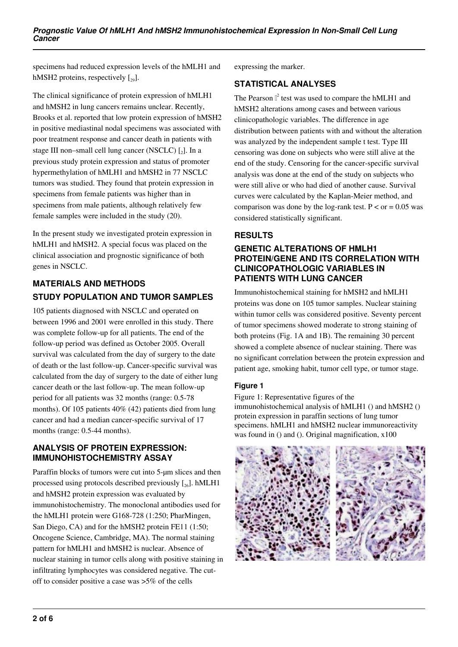specimens had reduced expression levels of the hMLH1 and hMSH2 proteins, respectively  $\lceil_{29}\rceil$ .

The clinical significance of protein expression of hMLH1 and hMSH2 in lung cancers remains unclear. Recently, Brooks et al. reported that low protein expression of hMSH2 in positive mediastinal nodal specimens was associated with poor treatment response and cancer death in patients with stage III non-small cell lung cancer (NSCLC)  $\left[ \_2 \right]$ . In a previous study protein expression and status of promoter hypermethylation of hMLH1 and hMSH2 in 77 NSCLC tumors was studied. They found that protein expression in specimens from female patients was higher than in specimens from male patients, although relatively few female samples were included in the study (20).

In the present study we investigated protein expression in hMLH1 and hMSH2. A special focus was placed on the clinical association and prognostic significance of both genes in NSCLC.

# **MATERIALS AND METHODS STUDY POPULATION AND TUMOR SAMPLES**

105 patients diagnosed with NSCLC and operated on between 1996 and 2001 were enrolled in this study. There was complete follow-up for all patients. The end of the follow-up period was defined as October 2005. Overall survival was calculated from the day of surgery to the date of death or the last follow-up. Cancer-specific survival was calculated from the day of surgery to the date of either lung cancer death or the last follow-up. The mean follow-up period for all patients was 32 months (range: 0.5-78 months). Of 105 patients 40% (42) patients died from lung cancer and had a median cancer-specific survival of 17 months (range: 0.5-44 months).

### **ANALYSIS OF PROTEIN EXPRESSION: IMMUNOHISTOCHEMISTRY ASSAY**

Paraffin blocks of tumors were cut into 5-um slices and then processed using protocols described previously  $[\gamma_6]$ . hMLH1 and hMSH2 protein expression was evaluated by immunohistochemistry. The monoclonal antibodies used for the hMLH1 protein were G168-728 (1:250; PharMingen, San Diego, CA) and for the hMSH2 protein FE11 (1:50; Oncogene Science, Cambridge, MA). The normal staining pattern for hMLH1 and hMSH2 is nuclear. Absence of nuclear staining in tumor cells along with positive staining in infiltrating lymphocytes was considered negative. The cutoff to consider positive a case was >5% of the cells

expressing the marker.

## **STATISTICAL ANALYSES**

The Pearson  $\mathbb{I}^2$  test was used to compare the hMLH1 and hMSH2 alterations among cases and between various clinicopathologic variables. The difference in age distribution between patients with and without the alteration was analyzed by the independent sample t test. Type III censoring was done on subjects who were still alive at the end of the study. Censoring for the cancer-specific survival analysis was done at the end of the study on subjects who were still alive or who had died of another cause. Survival curves were calculated by the Kaplan-Meier method, and comparison was done by the log-rank test.  $P < or = 0.05$  was considered statistically significant.

# **RESULTS**

#### **GENETIC ALTERATIONS OF HMLH1 PROTEIN/GENE AND ITS CORRELATION WITH CLINICOPATHOLOGIC VARIABLES IN PATIENTS WITH LUNG CANCER**

Immunohistochemical staining for hMSH2 and hMLH1 proteins was done on 105 tumor samples. Nuclear staining within tumor cells was considered positive. Seventy percent of tumor specimens showed moderate to strong staining of both proteins (Fig. 1A and 1B). The remaining 30 percent showed a complete absence of nuclear staining. There was no significant correlation between the protein expression and patient age, smoking habit, tumor cell type, or tumor stage.

#### **Figure 1**

Figure 1: Representative figures of the immunohistochemical analysis of hMLH1 () and hMSH2 () protein expression in paraffin sections of lung tumor specimens. hMLH1 and hMSH2 nuclear immunoreactivity was found in () and (). Original magnification, x100

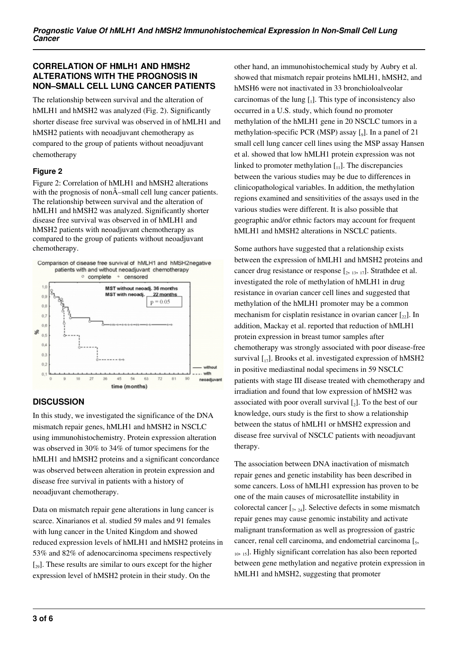#### **CORRELATION OF HMLH1 AND HMSH2 ALTERATIONS WITH THE PROGNOSIS IN NON–SMALL CELL LUNG CANCER PATIENTS**

The relationship between survival and the alteration of hMLH1 and hMSH2 was analyzed (Fig. 2). Significantly shorter disease free survival was observed in of hMLH1 and hMSH2 patients with neoadjuvant chemotherapy as compared to the group of patients without neoadjuvant chemotherapy

#### **Figure 2**

Figure 2: Correlation of hMLH1 and hMSH2 alterations with the prognosis of non $\hat{A}$ –small cell lung cancer patients. The relationship between survival and the alteration of hMLH1 and hMSH2 was analyzed. Significantly shorter disease free survival was observed in of hMLH1 and hMSH2 patients with neoadjuvant chemotherapy as compared to the group of patients without neoadjuvant chemotherapy.



# **DISCUSSION**

In this study, we investigated the significance of the DNA mismatch repair genes, hMLH1 and hMSH2 in NSCLC using immunohistochemistry. Protein expression alteration was observed in 30% to 34% of tumor specimens for the hMLH1 and hMSH2 proteins and a significant concordance was observed between alteration in protein expression and disease free survival in patients with a history of neoadjuvant chemotherapy.

Data on mismatch repair gene alterations in lung cancer is scarce. Xinarianos et al. studied 59 males and 91 females with lung cancer in the United Kingdom and showed reduced expression levels of hMLH1 and hMSH2 proteins in 53% and 82% of adenocarcinoma specimens respectively  $\left[\right]_{29}$ . These results are similar to ours except for the higher expression level of hMSH2 protein in their study. On the

other hand, an immunohistochemical study by Aubry et al. showed that mismatch repair proteins hMLH1, hMSH2, and hMSH6 were not inactivated in 33 bronchioloalveolar carcinomas of the lung  $[$ <sub>1</sub>]. This type of inconsistency also occurred in a U.S. study, which found no promoter methylation of the hMLH1 gene in 20 NSCLC tumors in a methylation-specific PCR (MSP) assay [<sub>9</sub>]. In a panel of 21 small cell lung cancer cell lines using the MSP assay Hansen et al. showed that low hMLH1 protein expression was not linked to promoter methylation  $\begin{bmatrix} 1 \\ 1 \end{bmatrix}$ . The discrepancies between the various studies may be due to differences in clinicopathological variables. In addition, the methylation regions examined and sensitivities of the assays used in the various studies were different. It is also possible that geographic and/or ethnic factors may account for frequent hMLH1 and hMSH2 alterations in NSCLC patients.

Some authors have suggested that a relationship exists between the expression of hMLH1 and hMSH2 proteins and cancer drug resistance or response  $[2, 13, 17]$ . Strathdee et al. investigated the role of methylation of hMLH1 in drug resistance in ovarian cancer cell lines and suggested that methylation of the hMLH1 promoter may be a common mechanism for cisplatin resistance in ovarian cancer  $\lceil z_2 \rceil$ . In addition, Mackay et al. reported that reduction of hMLH1 protein expression in breast tumor samples after chemotherapy was strongly associated with poor disease-free survival  $\left[\begin{smallmatrix}17\end{smallmatrix}\right]$ . Brooks et al. investigated expression of hMSH2 in positive mediastinal nodal specimens in 59 NSCLC patients with stage III disease treated with chemotherapy and irradiation and found that low expression of hMSH2 was associated with poor overall survival  $\left[ \_2 \right]$ . To the best of our knowledge, ours study is the first to show a relationship between the status of hMLH1 or hMSH2 expression and disease free survival of NSCLC patients with neoadjuvant therapy.

The association between DNA inactivation of mismatch repair genes and genetic instability has been described in some cancers. Loss of hMLH1 expression has proven to be one of the main causes of microsatellite instability in colorectal cancer  $[\,7, 24]$ . Selective defects in some mismatch repair genes may cause genomic instability and activate malignant transformation as well as progression of gastric cancer, renal cell carcinoma, and endometrial carcinoma [5, <sub>10, 15</sub>]. Highly significant correlation has also been reported between gene methylation and negative protein expression in hMLH1 and hMSH2, suggesting that promoter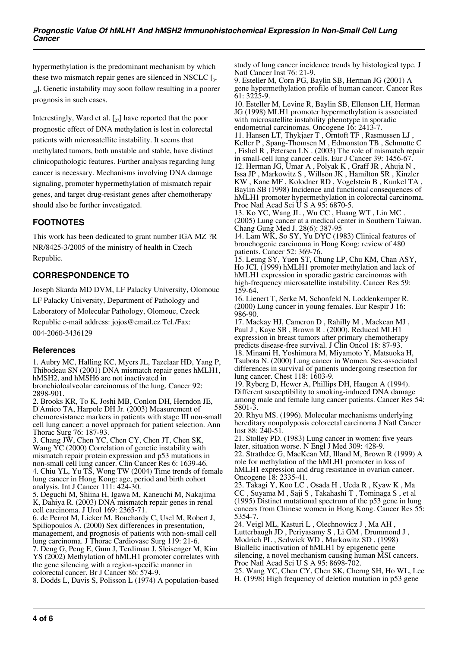hypermethylation is the predominant mechanism by which these two mismatch repair genes are silenced in NSCLC  $[s, ]$  $_{20}$ ]. Genetic instability may soon follow resulting in a poorer prognosis in such cases.

Interestingly, Ward et al.  $\left[\right]_{27}$  have reported that the poor prognostic effect of DNA methylation is lost in colorectal patients with microsatellite instability. It seems that methylated tumors, both unstable and stable, have distinct clinicopathologic features. Further analysis regarding lung cancer is necessary. Mechanisms involving DNA damage signaling, promoter hypermethylation of mismatch repair genes, and target drug-resistant genes after chemotherapy should also be further investigated.

# **FOOTNOTES**

This work has been dedicated to grant number IGA MZ ?R NR/8425-3/2005 of the ministry of health in Czech Republic.

# **CORRESPONDENCE TO**

Joseph Skarda MD DVM, LF Palacky University, Olomouc LF Palacky University, Department of Pathology and Laboratory of Molecular Pathology, Olomouc, Czeck Republic e-mail address: jojos@email.cz Tel./Fax: 004-2060-3436129

#### **References**

1. Aubry MC, Halling KC, Myers JL, Tazelaar HD, Yang P, Thibodeau SN (2001) DNA mismatch repair genes hMLH1, hMSH<sub>2</sub>, and hMSH<sub>6</sub> are not inactivated in bronchioloalveolar carcinomas of the lung. Cancer 92:

2898-901. 2. Brooks KR, To K, Joshi MB, Conlon DH, Herndon JE, D'Amico TA, Harpole DH Jr. (2003) Measurement of

chemoresistance markers in patients with stage III non-small cell lung cancer: a novel approach for patient selection. Ann Thorac Surg 76: 187-93.

3. Chang JW, Chen YC, Chen CY, Chen JT, Chen SK, Wang YC (2000) Correlation of genetic instability with mismatch repair protein expression and p53 mutations in non-small cell lung cancer. Clin Cancer Res 6: 1639-46. 4. Chiu YL, Yu TS, Wong TW (2004) Time trends of female lung cancer in Hong Kong: age, period and birth cohort analysis. Int J Cancer 111: 424-30.

5. Deguchi M, Shiina H, Igawa M, Kaneuchi M, Nakajima K, Dahiya R. (2003) DNA mismatch repair genes in renal cell carcinoma. J Urol 169: 2365-71.

6. de Perrot M, Licker M, Bouchardy C, Usel M, Robert J, Spiliopoulos A. (2000) Sex differences in presentation, management, and prognosis of patients with non-small cell lung carcinoma. J Thorac Cardiovasc Surg 119: 21-6.

7. Deng G, Peng E, Gum J, Terdiman J, Sleisenger M, Kim YS (2002) Methylation of hMLH1 promoter correlates with the gene silencing with a region-specific manner in colorectal cancer. Br J Cancer 86: 574-9.

8. Dodds L, Davis S, Polisson L (1974) A population-based

study of lung cancer incidence trends by histological type. J Natl Cancer Inst 76: 21-9.

9. Esteller M, Corn PG, Baylin SB, Herman JG (2001) A gene hypermethylation profile of human cancer. Cancer Res 61: 3225-9.

10. Esteller M, Levine R, Baylin SB, Ellenson LH, Herman JG (1998) MLH1 promoter hypermethylation is associated with microsatellite instability phenotype in sporadic endometrial carcinomas. Oncogene 16: 2413-7.

11. Hansen LT, Thykjaer T , Orntoft TF , Rasmussen LJ , Keller P , Spang-Thomsen M , Edmonston TB , Schmutte C , Fishel R , Petersen LN . (2003) The role of mismatch repair in small-cell lung cancer cells. Eur J Cancer 39: 1456-67. 12. Herman JG, Umar A , Polyak K , Graff JR , Ahuja N , Issa JP , Markowitz S , Willson JK , Hamilton SR , Kinzler KW , Kane MF , Kolodner RD , Vogelstein B , Kunkel TA , Baylin SB (1998) Incidence and functional consequences of hMLH1 promoter hypermethylation in colorectal carcinoma. Proc Natl Acad Sci U S A 95: 6870-5.

13. Ko YC, Wang JL , Wu CC , Huang WT , Lin MC . (2005) Lung cancer at a medical center in Southern Taiwan. Chang Gung Med J. 28(6): 387-95

14. Lam WK, So SY, Yu DYC (1983) Clinical features of bronchogenic carcinoma in Hong Kong: review of 480 patients. Cancer 52: 369-76.

15. Leung SY, Yuen ST, Chung LP, Chu KM, Chan ASY, Ho JCI. (1999) hMLH1 promoter methylation and lack of hMLH1 expression in sporadic gastric carcinomas with high-frequency microsatellite instability. Cancer Res 59: 159-64.

16. Lienert T, Serke M, Schonfeld N, Loddenkemper R. (2000) Lung cancer in young females. Eur Respir J 16: 986-90.

17. Mackay HJ, Cameron D , Rahilly M , Mackean MJ , Paul J , Kaye SB , Brown R . (2000). Reduced MLH1 expression in breast tumors after primary chemotherapy predicts disease-free survival. J Clin Oncol 18: 87-93. 18. Minami H, Yoshimura M, Miyamoto Y, Matsuoka H, Tsubota N. (2000) Lung cancer in Women. Sex-associated differences in survival of patients undergoing resection for lung cancer. Chest 118: 1603-9.

19. Ryberg D, Hewer A, Phillips DH, Haugen A (1994). Different susceptibility to smoking-induced DNA damage among male and female lung cancer patients. Cancer Res 54: 5801-3.

20. Rhyu MS. (1996). Molecular mechanisms underlying hereditary nonpolyposis colorectal carcinoma J Natl Cancer Inst 88: 240-51.

21. Stolley PD. (1983) Lung cancer in women: five years later, situation worse. N Engl J Med 309: 428-9. 22. Strathdee G, MacKean MJ, Illand M, Brown R (1999) A role for methylation of the hMLH1 promoter in loss of hMLH1 expression and drug resistance in ovarian cancer. Oncogene 18: 2335-41.

23. Takagi Y, Koo LC , Osada H , Ueda R , Kyaw K , Ma CC , Suyama M , Saji S , Takahashi T , Tominaga S , et al (1995) Distinct mutational spectrum of the p53 gene in lung cancers from Chinese women in Hong Kong. Cancer Res 55: 5354-7.

24. Veigl ML, Kasturi L , Olechnowicz J , Ma AH , Lutterbaugh JD , Periyasamy S , Li GM , Drummond J , Modrich PL , Sedwick WD , Markowitz SD . (1998) Biallelic inactivation of hMLH1 by epigenetic gene silencing, a novel mechanism causing human MSI cancers. Proc Natl Acad Sci U S A 95: 8698-702.

25. Wang YC, Chen CY, Chen SK, Cherng SH, Ho WL, Lee H. (1998) High frequency of deletion mutation in p53 gene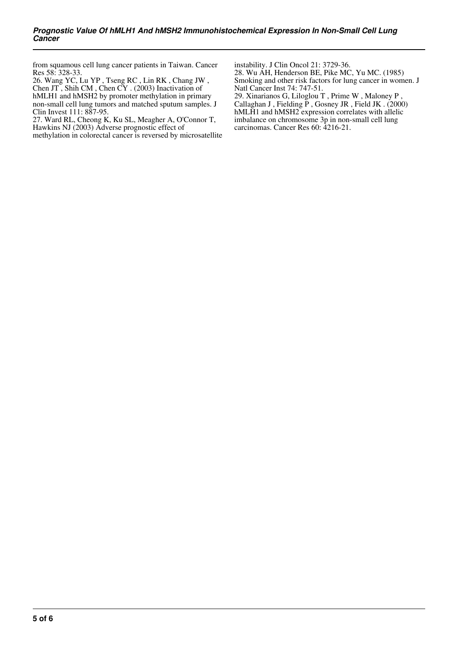from squamous cell lung cancer patients in Taiwan. Cancer Res 58: 328-33.

26. Wang YC, Lu YP , Tseng RC , Lin RK , Chang JW , Chen JT , Shih CM , Chen CY . (2003) Inactivation of hMLH1 and hMSH2 by promoter methylation in primary non-small cell lung tumors and matched sputum samples. J Clin Invest 111: 887-95.

27. Ward RL, Cheong K, Ku SL, Meagher A, O'Connor T, Hawkins NJ (2003) Adverse prognostic effect of

methylation in colorectal cancer is reversed by microsatellite

instability. J Clin Oncol 21: 3729-36. 28. Wu AH, Henderson BE, Pike MC, Yu MC. (1985) Smoking and other risk factors for lung cancer in women. J

Natl Cancer Inst 74: 747-51. 29. Xinarianos G, Liloglou T , Prime W , Maloney P , Callaghan J , Fielding P , Gosney JR , Field JK . (2000) hMLH<sub>1</sub> and hMSH<sub>2</sub> expression correlates with allelic imbalance on chromosome 3p in non-small cell lung carcinomas. Cancer Res 60: 4216-21.